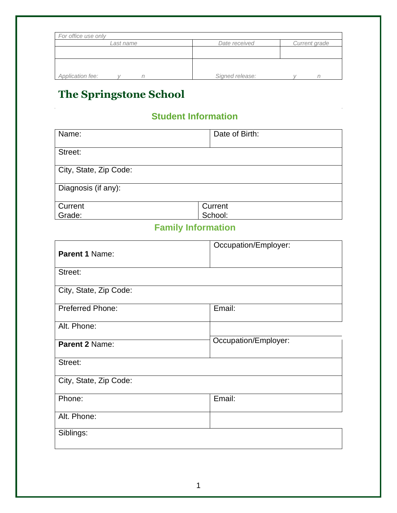| For office use only |                 |               |
|---------------------|-----------------|---------------|
| Last name           | Date received   | Current grade |
|                     |                 |               |
|                     |                 |               |
|                     |                 |               |
| Application fee:    | Signed release: |               |

## **The Springstone School**

## **Student Information**

| Name:                  | Date of Birth: |
|------------------------|----------------|
| Street:                |                |
| City, State, Zip Code: |                |
| Diagnosis (if any):    |                |
| Current                | Current        |
| Grade:                 | School:        |

## **Family Information**

| Parent 1 Name:          | Occupation/Employer: |
|-------------------------|----------------------|
| Street:                 |                      |
| City, State, Zip Code:  |                      |
| <b>Preferred Phone:</b> | Email:               |
| Alt. Phone:             |                      |
| Parent 2 Name:          | Occupation/Employer: |
| Street:                 |                      |
| City, State, Zip Code:  |                      |
| Phone:                  | Email:               |
| Alt. Phone:             |                      |
| Siblings:               |                      |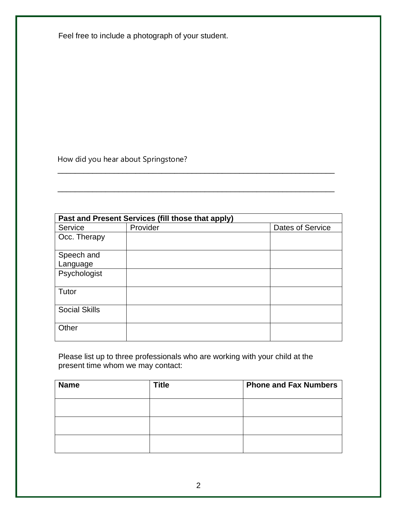| Feel free to include a photograph of your student. |  |
|----------------------------------------------------|--|
|----------------------------------------------------|--|

How did you hear about Springstone?

|                      | Past and Present Services (fill those that apply) |                  |
|----------------------|---------------------------------------------------|------------------|
| Service              | Provider                                          | Dates of Service |
| Occ. Therapy         |                                                   |                  |
| Speech and           |                                                   |                  |
| Language             |                                                   |                  |
| Psychologist         |                                                   |                  |
| Tutor                |                                                   |                  |
| <b>Social Skills</b> |                                                   |                  |
| Other                |                                                   |                  |

\_\_\_\_\_\_\_\_\_\_\_\_\_\_\_\_\_\_\_\_\_\_\_\_\_\_\_\_\_\_\_\_\_\_\_\_\_\_\_\_\_\_\_\_\_\_\_\_\_\_\_\_\_\_\_\_\_\_\_\_\_\_\_\_

\_\_\_\_\_\_\_\_\_\_\_\_\_\_\_\_\_\_\_\_\_\_\_\_\_\_\_\_\_\_\_\_\_\_\_\_\_\_\_\_\_\_\_\_\_\_\_\_\_\_\_\_\_\_\_\_\_\_\_\_\_\_\_\_

Please list up to three professionals who are working with your child at the present time whom we may contact:

| <b>Name</b> | <b>Title</b> | <b>Phone and Fax Numbers</b> |
|-------------|--------------|------------------------------|
|             |              |                              |
|             |              |                              |
|             |              |                              |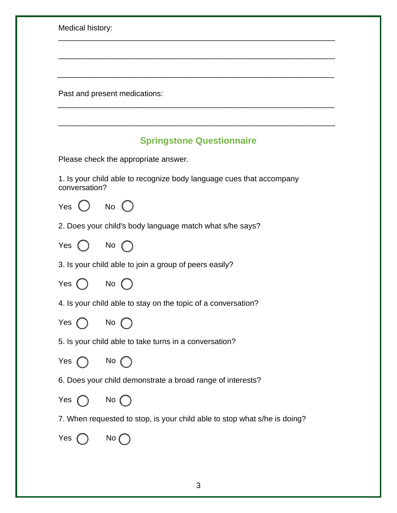| Medical history: |                                                                           |
|------------------|---------------------------------------------------------------------------|
|                  |                                                                           |
|                  |                                                                           |
|                  | Past and present medications:                                             |
|                  |                                                                           |
|                  | <b>Springstone Questionnaire</b>                                          |
|                  | Please check the appropriate answer.                                      |
| conversation?    | 1. Is your child able to recognize body language cues that accompany      |
| Yes              | No $\bigcirc$                                                             |
|                  | 2. Does your child's body language match what s/he says?                  |
| Yes $()$         | No $\bigcap$                                                              |
|                  | 3. Is your child able to join a group of peers easily?                    |
| Yes              | No                                                                        |
|                  | 4. Is your child able to stay on the topic of a conversation?             |
| Yes $\bigcap$    | No $\bigcap$                                                              |
|                  | 5. Is your child able to take turns in a conversation?                    |
| Yes $\bigcap$    | No $\bigcap$                                                              |
|                  | 6. Does your child demonstrate a broad range of interests?                |
| Yes $\bigcap$    | $No$ $()$                                                                 |
|                  | 7. When requested to stop, is your child able to stop what s/he is doing? |
| Yes (            | No $\mathcal{C}$                                                          |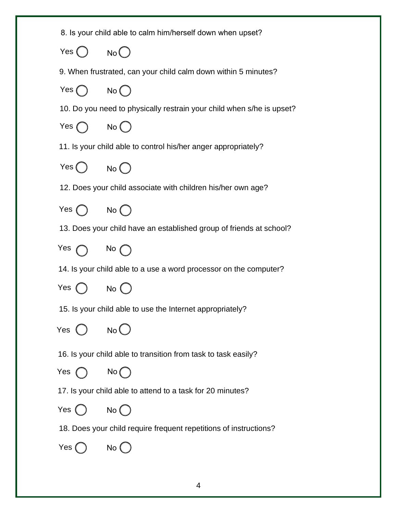|                              | 8. Is your child able to calm him/herself down when upset?            |
|------------------------------|-----------------------------------------------------------------------|
| Yes $\bigcirc$ No $\bigcirc$ |                                                                       |
|                              | 9. When frustrated, can your child calm down within 5 minutes?        |
| Yes $\bigcap$ No $\bigcap$   |                                                                       |
|                              | 10. Do you need to physically restrain your child when s/he is upset? |
| Yes $\bigcap$ No $\bigcap$   |                                                                       |
|                              | 11. Is your child able to control his/her anger appropriately?        |
| Yes $\bigcirc$ No $\bigcirc$ |                                                                       |
|                              | 12. Does your child associate with children his/her own age?          |
| Yes $\bigcirc$ No $\bigcirc$ |                                                                       |
|                              | 13. Does your child have an established group of friends at school?   |
| Yes $\bigcap$ No $\bigcap$   |                                                                       |
|                              | 14. Is your child able to a use a word processor on the computer?     |
| Yes $\bigcirc$ No $\bigcirc$ |                                                                       |
|                              | 15. Is your child able to use the Internet appropriately?             |
| Yes                          | No C                                                                  |
|                              | 16. Is your child able to transition from task to task easily?        |
| Yes                          | $No$ $\bigcap$                                                        |
|                              | 17. Is your child able to attend to a task for 20 minutes?            |
| Yes (                        | No()                                                                  |
|                              | 18. Does your child require frequent repetitions of instructions?     |
| Yes (                        |                                                                       |
|                              |                                                                       |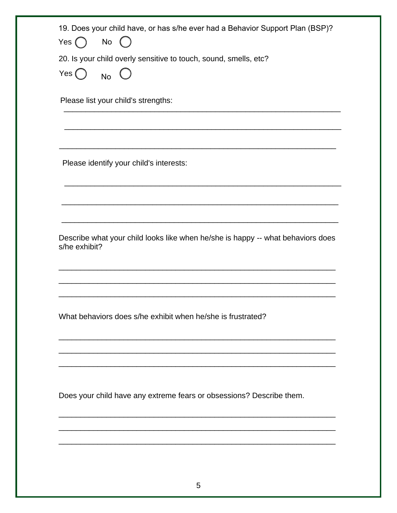| Yes $( )$                               | 19. Does your child have, or has s/he ever had a Behavior Support Plan (BSP)?<br>No |
|-----------------------------------------|-------------------------------------------------------------------------------------|
|                                         | 20. Is your child overly sensitive to touch, sound, smells, etc?                    |
| Yes $\begin{pmatrix} \ \ \end{pmatrix}$ | N <sub>0</sub>                                                                      |
|                                         | Please list your child's strengths:                                                 |
|                                         | Please identify your child's interests:                                             |
|                                         |                                                                                     |
|                                         |                                                                                     |
|                                         |                                                                                     |
|                                         |                                                                                     |
|                                         | Describe what your child looks like when he/she is happy -- what behaviors does     |
|                                         |                                                                                     |
|                                         | What behaviors does s/he exhibit when he/she is frustrated?                         |
|                                         |                                                                                     |
|                                         |                                                                                     |
|                                         | Does your child have any extreme fears or obsessions? Describe them.                |
| s/he exhibit?                           |                                                                                     |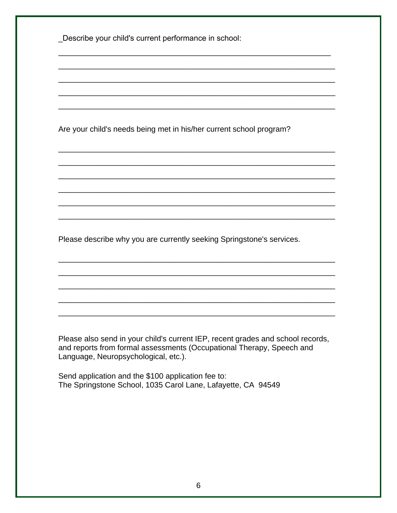\_Describe your child's current performance in school:

Are your child's needs being met in his/her current school program?

Please describe why you are currently seeking Springstone's services.

Please also send in your child's current IEP, recent grades and school records, and reports from formal assessments (Occupational Therapy, Speech and Language, Neuropsychological, etc.).

Send application and the \$100 application fee to: The Springstone School, 1035 Carol Lane, Lafayette, CA 94549